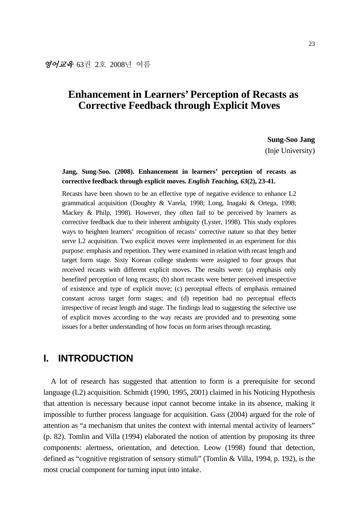# **Enhancement in Learners' Perception of Recasts as Corrective Feedback through Explicit Moves**

**Sung-Soo Jang** 

(Inje University)

#### **Jang, Sung-Soo. (2008). Enhancement in learners' perception of recasts as corrective feedback through explicit moves.** *English Teaching, 63***(2), 23-41.**

Recasts have been shown to be an effective type of negative evidence to enhance L2 grammatical acquisition (Doughty & Varela, 1998; Long, Inagaki & Ortega, 1998; Mackey & Philp, 1998). However, they often fail to be perceived by learners as corrective feedback due to their inherent ambiguity (Lyster, 1998). This study explores ways to heighten learners' recognition of recasts' corrective nature so that they better serve L2 acquisition. Two explicit moves were implemented in an experiment for this purpose: emphasis and repetition. They were examined in relation with recast length and target form stage. Sixty Korean college students were assigned to four groups that received recasts with different explicit moves. The results were: (a) emphasis only benefited perception of long recasts; (b) short recasts were better perceived irrespective of existence and type of explicit move; (c) perceptual effects of emphasis remained constant across target form stages; and (d) repetition had no perceptual effects irrespective of recast length and stage. The findings lead to suggesting the selective use of explicit moves according to the way recasts are provided and to presenting some issues for a better understanding of how focus on form arises through recasting.

## **I. INTRODUCTION**

A lot of research has suggested that attention to form is a prerequisite for second language (L2) acquisition. Schmidt (1990, 1995, 2001) claimed in his Noticing Hypothesis that attention is necessary because input cannot become intake in its absence, making it impossible to further process language for acquisition. Gass (2004) argued for the role of attention as "a mechanism that unites the context with internal mental activity of learners" (p. 82). Tomlin and Villa (1994) elaborated the notion of attention by proposing its three components: alertness, orientation, and detection. Leow (1998) found that detection, defined as "cognitive registration of sensory stimuli" (Tomlin & Villa, 1994, p. 192), is the most crucial component for turning input into intake.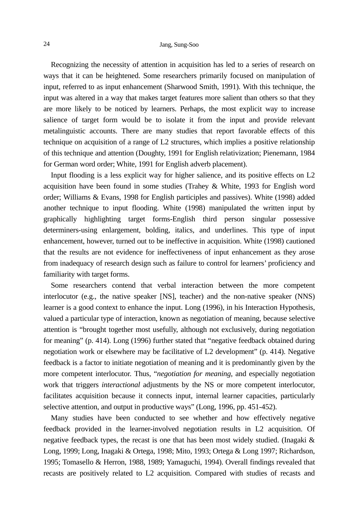Recognizing the necessity of attention in acquisition has led to a series of research on ways that it can be heightened. Some researchers primarily focused on manipulation of input, referred to as input enhancement (Sharwood Smith, 1991). With this technique, the input was altered in a way that makes target features more salient than others so that they are more likely to be noticed by learners. Perhaps, the most explicit way to increase salience of target form would be to isolate it from the input and provide relevant metalinguistic accounts. There are many studies that report favorable effects of this technique on acquisition of a range of L2 structures, which implies a positive relationship of this technique and attention (Doughty, 1991 for English relativization; Pienemann, 1984 for German word order; White, 1991 for English adverb placement).

Input flooding is a less explicit way for higher salience, and its positive effects on L2 acquisition have been found in some studies (Trahey & White, 1993 for English word order; Williams & Evans, 1998 for English participles and passives). White (1998) added another technique to input flooding. White (1998) manipulated the written input by graphically highlighting target forms-English third person singular possessive determiners-using enlargement, bolding, italics, and underlines. This type of input enhancement, however, turned out to be ineffective in acquisition. White (1998) cautioned that the results are not evidence for ineffectiveness of input enhancement as they arose from inadequacy of research design such as failure to control for learners' proficiency and familiarity with target forms.

Some researchers contend that verbal interaction between the more competent interlocutor (e.g., the native speaker [NS], teacher) and the non-native speaker (NNS) learner is a good context to enhance the input. Long (1996), in his Interaction Hypothesis, valued a particular type of interaction, known as negotiation of meaning, because selective attention is "brought together most usefully, although not exclusively, during negotiation for meaning" (p. 414). Long (1996) further stated that "negative feedback obtained during negotiation work or elsewhere may be facilitative of L2 development" (p. 414). Negative feedback is a factor to initiate negotiation of meaning and it is predominantly given by the more competent interlocutor. Thus, "*negotiation for meaning*, and especially negotiation work that triggers *interactional* adjustments by the NS or more competent interlocutor, facilitates acquisition because it connects input, internal learner capacities, particularly selective attention, and output in productive ways" (Long, 1996, pp. 451-452).

Many studies have been conducted to see whether and how effectively negative feedback provided in the learner-involved negotiation results in L2 acquisition. Of negative feedback types, the recast is one that has been most widely studied. (Inagaki  $\&$ Long, 1999; Long, Inagaki & Ortega, 1998; Mito, 1993; Ortega & Long 1997; Richardson, 1995; Tomasello & Herron, 1988, 1989; Yamaguchi, 1994). Overall findings revealed that recasts are positively related to L2 acquisition. Compared with studies of recasts and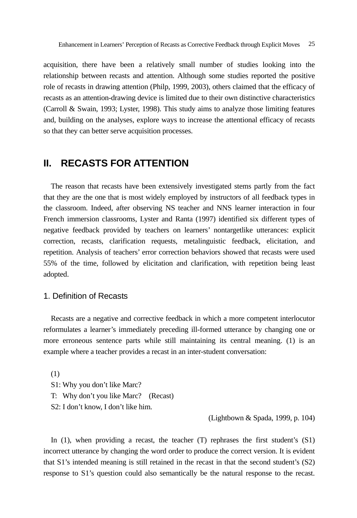acquisition, there have been a relatively small number of studies looking into the relationship between recasts and attention. Although some studies reported the positive role of recasts in drawing attention (Philp, 1999, 2003), others claimed that the efficacy of recasts as an attention-drawing device is limited due to their own distinctive characteristics (Carroll & Swain, 1993; Lyster, 1998). This study aims to analyze those limiting features and, building on the analyses, explore ways to increase the attentional efficacy of recasts so that they can better serve acquisition processes.

## **II. RECASTS FOR ATTENTION**

The reason that recasts have been extensively investigated stems partly from the fact that they are the one that is most widely employed by instructors of all feedback types in the classroom. Indeed, after observing NS teacher and NNS learner interaction in four French immersion classrooms, Lyster and Ranta (1997) identified six different types of negative feedback provided by teachers on learners' nontargetlike utterances: explicit correction, recasts, clarification requests, metalinguistic feedback, elicitation, and repetition. Analysis of teachers' error correction behaviors showed that recasts were used 55% of the time, followed by elicitation and clarification, with repetition being least adopted.

#### 1. Definition of Recasts

Recasts are a negative and corrective feedback in which a more competent interlocutor reformulates a learner's immediately preceding ill-formed utterance by changing one or more erroneous sentence parts while still maintaining its central meaning. (1) is an example where a teacher provides a recast in an inter-student conversation:

(1)

S1: Why you don't like Marc?

- T: Why don't you like Marc? (Recast)
- S2: I don't know, I don't like him.

(Lightbown & Spada, 1999, p. 104)

In  $(1)$ , when providing a recast, the teacher  $(T)$  rephrases the first student's  $(S1)$ incorrect utterance by changing the word order to produce the correct version. It is evident that S1's intended meaning is still retained in the recast in that the second student's (S2) response to S1's question could also semantically be the natural response to the recast.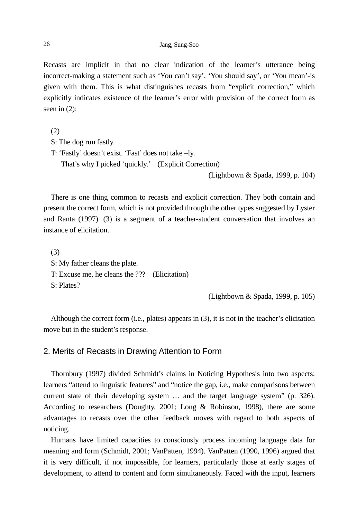Recasts are implicit in that no clear indication of the learner's utterance being incorrect-making a statement such as 'You can't say', 'You should say', or 'You mean'-is given with them. This is what distinguishes recasts from "explicit correction," which explicitly indicates existence of the learner's error with provision of the correct form as seen in (2):

(2) S: The dog run fastly. T: 'Fastly' doesn't exist. 'Fast' does not take –ly. That's why I picked 'quickly.' (Explicit Correction) (Lightbown & Spada, 1999, p. 104)

There is one thing common to recasts and explicit correction. They both contain and present the correct form, which is not provided through the other types suggested by Lyster and Ranta (1997). (3) is a segment of a teacher-student conversation that involves an instance of elicitation.

(3) S: My father cleans the plate. T: Excuse me, he cleans the ??? (Elicitation) S: Plates?

(Lightbown & Spada, 1999, p. 105)

Although the correct form (i.e., plates) appears in (3), it is not in the teacher's elicitation move but in the student's response.

#### 2. Merits of Recasts in Drawing Attention to Form

Thornbury (1997) divided Schmidt's claims in Noticing Hypothesis into two aspects: learners "attend to linguistic features" and "notice the gap, i.e., make comparisons between current state of their developing system … and the target language system" (p. 326). According to researchers (Doughty, 2001; Long & Robinson, 1998), there are some advantages to recasts over the other feedback moves with regard to both aspects of noticing.

Humans have limited capacities to consciously process incoming language data for meaning and form (Schmidt, 2001; VanPatten, 1994). VanPatten (1990, 1996) argued that it is very difficult, if not impossible, for learners, particularly those at early stages of development, to attend to content and form simultaneously. Faced with the input, learners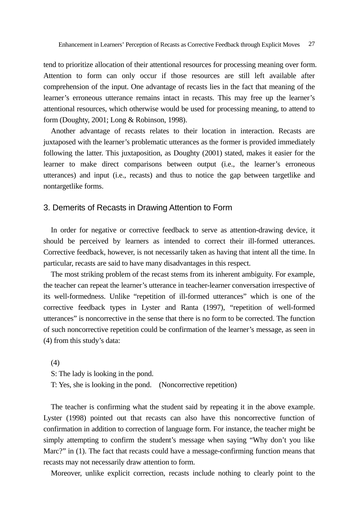tend to prioritize allocation of their attentional resources for processing meaning over form. Attention to form can only occur if those resources are still left available after comprehension of the input. One advantage of recasts lies in the fact that meaning of the learner's erroneous utterance remains intact in recasts. This may free up the learner's attentional resources, which otherwise would be used for processing meaning, to attend to form (Doughty, 2001; Long & Robinson, 1998).

Another advantage of recasts relates to their location in interaction. Recasts are juxtaposed with the learner's problematic utterances as the former is provided immediately following the latter. This juxtaposition, as Doughty (2001) stated, makes it easier for the learner to make direct comparisons between output (i.e., the learner's erroneous utterances) and input (i.e., recasts) and thus to notice the gap between targetlike and nontargetlike forms.

#### 3. Demerits of Recasts in Drawing Attention to Form

In order for negative or corrective feedback to serve as attention-drawing device, it should be perceived by learners as intended to correct their ill-formed utterances. Corrective feedback, however, is not necessarily taken as having that intent all the time. In particular, recasts are said to have many disadvantages in this respect.

The most striking problem of the recast stems from its inherent ambiguity. For example, the teacher can repeat the learner's utterance in teacher-learner conversation irrespective of its well-formedness. Unlike "repetition of ill-formed utterances" which is one of the corrective feedback types in Lyster and Ranta (1997), "repetition of well-formed utterances" is noncorrective in the sense that there is no form to be corrected. The function of such noncorrective repetition could be confirmation of the learner's message, as seen in (4) from this study's data:

(4)

S: The lady is looking in the pond.

T: Yes, she is looking in the pond. (Noncorrective repetition)

The teacher is confirming what the student said by repeating it in the above example. Lyster (1998) pointed out that recasts can also have this noncorrective function of confirmation in addition to correction of language form. For instance, the teacher might be simply attempting to confirm the student's message when saying "Why don't you like Marc?" in (1). The fact that recasts could have a message-confirming function means that recasts may not necessarily draw attention to form.

Moreover, unlike explicit correction, recasts include nothing to clearly point to the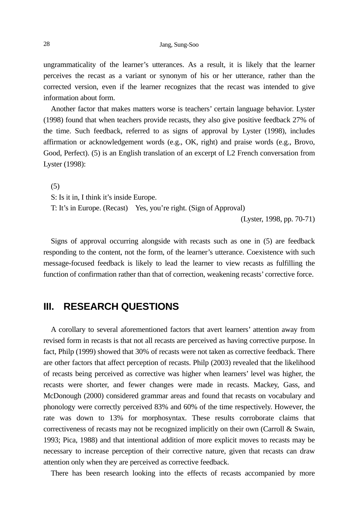ungrammaticality of the learner's utterances. As a result, it is likely that the learner perceives the recast as a variant or synonym of his or her utterance, rather than the corrected version, even if the learner recognizes that the recast was intended to give information about form.

Another factor that makes matters worse is teachers' certain language behavior. Lyster (1998) found that when teachers provide recasts, they also give positive feedback 27% of the time. Such feedback, referred to as signs of approval by Lyster (1998), includes affirmation or acknowledgement words (e.g., OK, right) and praise words (e.g., Brovo, Good, Perfect). (5) is an English translation of an excerpt of L2 French conversation from Lyster (1998):

(5)

S: Is it in, I think it's inside Europe.

T: It's in Europe. (Recast) Yes, you're right. (Sign of Approval)

(Lyster, 1998, pp. 70-71)

Signs of approval occurring alongside with recasts such as one in (5) are feedback responding to the content, not the form, of the learner's utterance. Coexistence with such message-focused feedback is likely to lead the learner to view recasts as fulfilling the function of confirmation rather than that of correction, weakening recasts' corrective force.

## **III. RESEARCH QUESTIONS**

A corollary to several aforementioned factors that avert learners' attention away from revised form in recasts is that not all recasts are perceived as having corrective purpose. In fact, Philp (1999) showed that 30% of recasts were not taken as corrective feedback. There are other factors that affect perception of recasts. Philp (2003) revealed that the likelihood of recasts being perceived as corrective was higher when learners' level was higher, the recasts were shorter, and fewer changes were made in recasts. Mackey, Gass, and McDonough (2000) considered grammar areas and found that recasts on vocabulary and phonology were correctly perceived 83% and 60% of the time respectively. However, the rate was down to 13% for morphosyntax. These results corroborate claims that correctiveness of recasts may not be recognized implicitly on their own (Carroll & Swain, 1993; Pica, 1988) and that intentional addition of more explicit moves to recasts may be necessary to increase perception of their corrective nature, given that recasts can draw attention only when they are perceived as corrective feedback.

There has been research looking into the effects of recasts accompanied by more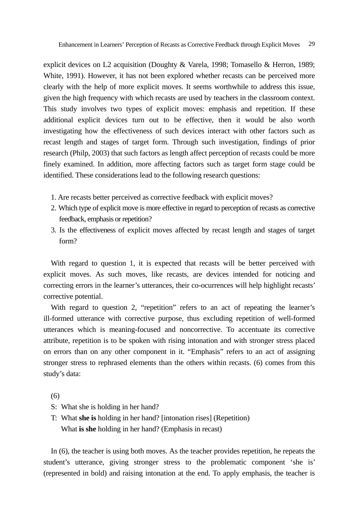explicit devices on L2 acquisition (Doughty & Varela, 1998; Tomasello & Herron, 1989; White, 1991). However, it has not been explored whether recasts can be perceived more clearly with the help of more explicit moves. It seems worthwhile to address this issue, given the high frequency with which recasts are used by teachers in the classroom context. This study involves two types of explicit moves: emphasis and repetition. If these additional explicit devices turn out to be effective, then it would be also worth investigating how the effectiveness of such devices interact with other factors such as recast length and stages of target form. Through such investigation, findings of prior research (Philp, 2003) that such factors as length affect perception of recasts could be more finely examined. In addition, more affecting factors such as target form stage could be identified. These considerations lead to the following research questions:

- 1. Are recasts better perceived as corrective feedback with explicit moves?
- 2. Which type of explicit move is more effective in regard to perception of recasts as corrective feedback, emphasis or repetition?
- 3. Is the effectiveness of explicit moves affected by recast length and stages of target form?

With regard to question 1, it is expected that recasts will be better perceived with explicit moves. As such moves, like recasts, are devices intended for noticing and correcting errors in the learner's utterances, their co-ocurrences will help highlight recasts' corrective potential.

With regard to question 2, "repetition" refers to an act of repeating the learner's ill-formed utterance with corrective purpose, thus excluding repetition of well-formed utterances which is meaning-focused and noncorrective. To accentuate its corrective attribute, repetition is to be spoken with rising intonation and with stronger stress placed on errors than on any other component in it. "Emphasis" refers to an act of assigning stronger stress to rephrased elements than the others within recasts. (6) comes from this study's data:

(6)

- S: What she is holding in her hand?
- T: What **she is** holding in her hand? [intonation rises] (Repetition) What **is she** holding in her hand? (Emphasis in recast)

In (6), the teacher is using both moves. As the teacher provides repetition, he repeats the student's utterance, giving stronger stress to the problematic component 'she is' (represented in bold) and raising intonation at the end. To apply emphasis, the teacher is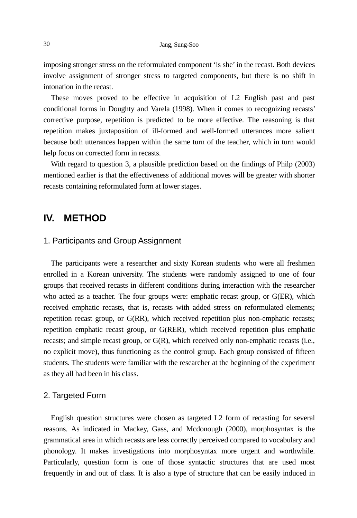imposing stronger stress on the reformulated component 'is she' in the recast. Both devices involve assignment of stronger stress to targeted components, but there is no shift in intonation in the recast.

These moves proved to be effective in acquisition of L2 English past and past conditional forms in Doughty and Varela (1998). When it comes to recognizing recasts' corrective purpose, repetition is predicted to be more effective. The reasoning is that repetition makes juxtaposition of ill-formed and well-formed utterances more salient because both utterances happen within the same turn of the teacher, which in turn would help focus on corrected form in recasts.

With regard to question 3, a plausible prediction based on the findings of Philp (2003) mentioned earlier is that the effectiveness of additional moves will be greater with shorter recasts containing reformulated form at lower stages.

## **IV. METHOD**

#### 1. Participants and Group Assignment

The participants were a researcher and sixty Korean students who were all freshmen enrolled in a Korean university. The students were randomly assigned to one of four groups that received recasts in different conditions during interaction with the researcher who acted as a teacher. The four groups were: emphatic recast group, or G(ER), which received emphatic recasts, that is, recasts with added stress on reformulated elements; repetition recast group, or G(RR), which received repetition plus non-emphatic recasts; repetition emphatic recast group, or G(RER), which received repetition plus emphatic recasts; and simple recast group, or G(R), which received only non-emphatic recasts (i.e., no explicit move), thus functioning as the control group. Each group consisted of fifteen students. The students were familiar with the researcher at the beginning of the experiment as they all had been in his class.

#### 2. Targeted Form

English question structures were chosen as targeted L2 form of recasting for several reasons. As indicated in Mackey, Gass, and Mcdonough (2000), morphosyntax is the grammatical area in which recasts are less correctly perceived compared to vocabulary and phonology. It makes investigations into morphosyntax more urgent and worthwhile. Particularly, question form is one of those syntactic structures that are used most frequently in and out of class. It is also a type of structure that can be easily induced in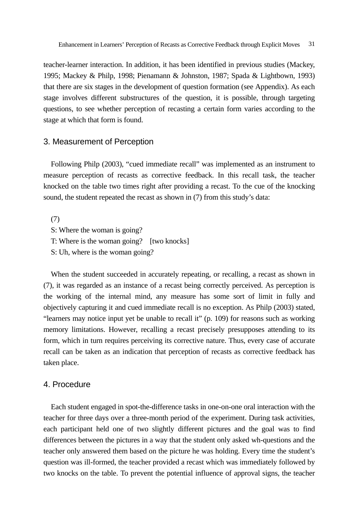teacher-learner interaction. In addition, it has been identified in previous studies (Mackey, 1995; Mackey & Philp, 1998; Pienamann & Johnston, 1987; Spada & Lightbown, 1993) that there are six stages in the development of question formation (see Appendix). As each stage involves different substructures of the question, it is possible, through targeting questions, to see whether perception of recasting a certain form varies according to the stage at which that form is found.

#### 3. Measurement of Perception

Following Philp (2003), "cued immediate recall" was implemented as an instrument to measure perception of recasts as corrective feedback. In this recall task, the teacher knocked on the table two times right after providing a recast. To the cue of the knocking sound, the student repeated the recast as shown in (7) from this study's data:

(7) S: Where the woman is going? T: Where is the woman going? [two knocks] S: Uh, where is the woman going?

When the student succeeded in accurately repeating, or recalling, a recast as shown in (7), it was regarded as an instance of a recast being correctly perceived. As perception is the working of the internal mind, any measure has some sort of limit in fully and objectively capturing it and cued immediate recall is no exception. As Philp (2003) stated, "learners may notice input yet be unable to recall it" (p. 109) for reasons such as working memory limitations. However, recalling a recast precisely presupposes attending to its form, which in turn requires perceiving its corrective nature. Thus, every case of accurate recall can be taken as an indication that perception of recasts as corrective feedback has taken place.

#### 4. Procedure

Each student engaged in spot-the-difference tasks in one-on-one oral interaction with the teacher for three days over a three-month period of the experiment. During task activities, each participant held one of two slightly different pictures and the goal was to find differences between the pictures in a way that the student only asked wh-questions and the teacher only answered them based on the picture he was holding. Every time the student's question was ill-formed, the teacher provided a recast which was immediately followed by two knocks on the table. To prevent the potential influence of approval signs, the teacher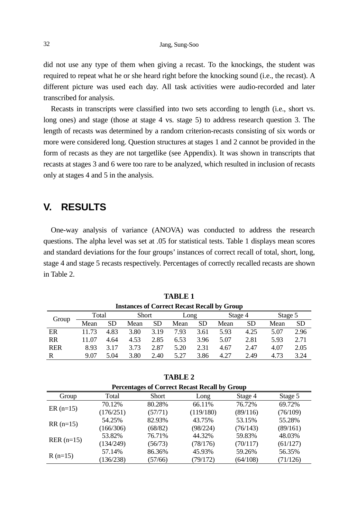did not use any type of them when giving a recast. To the knockings, the student was required to repeat what he or she heard right before the knocking sound (i.e., the recast). A different picture was used each day. All task activities were audio-recorded and later transcribed for analysis.

Recasts in transcripts were classified into two sets according to length (i.e., short vs. long ones) and stage (those at stage 4 vs. stage 5) to address research question 3. The length of recasts was determined by a random criterion-recasts consisting of six words or more were considered long. Question structures at stages 1 and 2 cannot be provided in the form of recasts as they are not targetlike (see Appendix). It was shown in transcripts that recasts at stages 3 and 6 were too rare to be analyzed, which resulted in inclusion of recasts only at stages 4 and 5 in the analysis.

## **V. RESULTS**

One-way analysis of variance (ANOVA) was conducted to address the research questions. The alpha level was set at .05 for statistical tests. Table 1 displays mean scores and standard deviations for the four groups' instances of correct recall of total, short, long, stage 4 and stage 5 recasts respectively. Percentages of correctly recalled recasts are shown in Table 2.

| <b>Instances of Correct Recast Recall by Group</b> |       |           |              |      |      |      |         |           |         |      |
|----------------------------------------------------|-------|-----------|--------------|------|------|------|---------|-----------|---------|------|
| Group                                              | Total |           | <b>Short</b> |      | Long |      | Stage 4 |           | Stage 5 |      |
|                                                    | Mean  | <b>SD</b> | Mean         | SD.  | Mean | SD   | Mean    | <b>SD</b> | Mean    | SD.  |
| ER                                                 | 11.73 | 4.83      | 3.80         | 3.19 | 7.93 | 3.61 | 5.93    | 4.25      | 5.07    | 2.96 |
| RR                                                 | 11.07 | 4.64      | 4.53         | 2.85 | 6.53 | 3.96 | 5.07    | 2.81      | 5.93    | 2.71 |
| <b>RER</b>                                         | 8.93  | 3.17      | 3.73         | 2.87 | 5.20 | 2.31 | 4.67    | 2.47      | 4.07    | 2.05 |
| R                                                  | 9.07  | 5.04      | 3.80         | 2.40 | 5.27 | 3.86 | 4.27    | 2.49      | 4.73    | 3.24 |

**TABLE 1** 

| <b>TABLE 2</b>                                           |  |
|----------------------------------------------------------|--|
| $\mathbf{r} \cdot \mathbf{r}$ is the set of $\mathbf{r}$ |  |

| Percentages of Correct Recast Recall by Group |           |              |           |          |          |  |
|-----------------------------------------------|-----------|--------------|-----------|----------|----------|--|
| Group                                         | Total     | <b>Short</b> | Long      | Stage 4  | Stage 5  |  |
| $ER(n=15)$                                    | 70.12%    | 80.28%       | 66.11%    | 76.72%   | 69.72%   |  |
|                                               | (176/251) | (57/71)      | (119/180) | (89/116) | (76/109) |  |
| $RR(n=15)$                                    | 54.25%    | 82.93%       | 43.75%    | 53.15%   | 55.28%   |  |
|                                               | (166/306) | (68/82)      | (98/224)  | (76/143) | (89/161) |  |
| $RER (n=15)$                                  | 53.82%    | 76.71%       | 44.32%    | 59.83%   | 48.03%   |  |
|                                               | (134/249) | (56/73)      | (78/176)  | (70/117) | (61/127) |  |
|                                               | 57.14%    | 86.36%       | 45.93%    | 59.26%   | 56.35%   |  |
| $R(n=15)$                                     | (136/238) | (57/66)      | (79/172)  | (64/108) | (71/126) |  |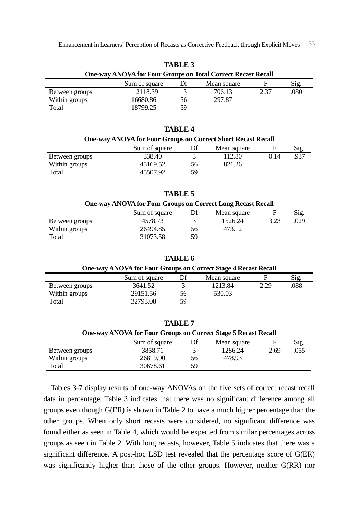| <b>One-way ANOVA for Four Groups on Total Correct Recast Recall</b> |               |    |             |      |      |  |  |
|---------------------------------------------------------------------|---------------|----|-------------|------|------|--|--|
|                                                                     | Sum of square | Df | Mean square |      | Sig. |  |  |
| Between groups                                                      | 2118.39       |    | 706.13      | 2.37 | .080 |  |  |
| Within groups                                                       | 16680.86      | 56 | 297.87      |      |      |  |  |
| Total                                                               | 18799.25      | 59 |             |      |      |  |  |

**TABLE 3** 

| TADLE 4                                                             |               |    |             |      |      |  |  |  |
|---------------------------------------------------------------------|---------------|----|-------------|------|------|--|--|--|
| <b>One-way ANOVA for Four Groups on Correct Short Recast Recall</b> |               |    |             |      |      |  |  |  |
|                                                                     | Sum of square | Df | Mean square |      | Sig. |  |  |  |
| Between groups                                                      | 338.40        |    | 112.80      | 0.14 | .937 |  |  |  |
| Within groups                                                       | 45169.52      | 56 | 821.26      |      |      |  |  |  |
| Total                                                               | 45507.92      | 59 |             |      |      |  |  |  |

**TABLE 4** 

**TABLE 5** 

| <b>One-way ANOVA for Four Groups on Correct Long Recast Recall</b> |               |    |             |      |      |  |  |
|--------------------------------------------------------------------|---------------|----|-------------|------|------|--|--|
|                                                                    | Sum of square | Df | Mean square |      | Sig. |  |  |
| Between groups                                                     | 4578.73       |    | 1526.24     | 3.23 | .029 |  |  |
| Within groups                                                      | 26494.85      | 56 | 473.12      |      |      |  |  |
| Total                                                              | 31073.58      | 59 |             |      |      |  |  |

**TABLE 6** 

| <b>One-way ANOVA for Four Groups on Correct Stage 4 Recast Recall</b> |               |    |             |      |      |  |  |
|-----------------------------------------------------------------------|---------------|----|-------------|------|------|--|--|
|                                                                       | Sum of square |    | Mean square |      | Sig. |  |  |
| Between groups                                                        | 3641.52       |    | 1213.84     | 2.29 | .088 |  |  |
| Within groups                                                         | 29151.56      | 56 | 530.03      |      |      |  |  |
| Total                                                                 | 32793.08      | 59 |             |      |      |  |  |

| TABLE 7                                                               |               |    |             |      |      |  |  |
|-----------------------------------------------------------------------|---------------|----|-------------|------|------|--|--|
| <b>One-way ANOVA for Four Groups on Correct Stage 5 Recast Recall</b> |               |    |             |      |      |  |  |
|                                                                       | Sum of square | Df | Mean square | F    | Sig. |  |  |
| Between groups                                                        | 3858.71       |    | 1286.24     | 2.69 | .055 |  |  |
| Within groups                                                         | 26819.90      | 56 | 478.93      |      |      |  |  |
| Total                                                                 | 30678.61      | 59 |             |      |      |  |  |

Tables 3-7 display results of one-way ANOVAs on the five sets of correct recast recall data in percentage. Table 3 indicates that there was no significant difference among all groups even though G(ER) is shown in Table 2 to have a much higher percentage than the other groups. When only short recasts were considered, no significant difference was found either as seen in Table 4, which would be expected from similar percentages across groups as seen in Table 2. With long recasts, however, Table 5 indicates that there was a significant difference. A post-hoc LSD test revealed that the percentage score of G(ER) was significantly higher than those of the other groups. However, neither G(RR) nor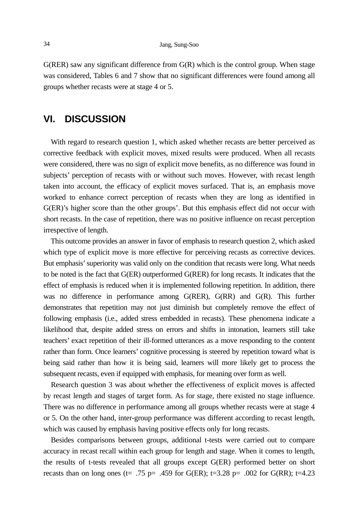$G(RER)$  saw any significant difference from  $G(R)$  which is the control group. When stage was considered, Tables 6 and 7 show that no significant differences were found among all groups whether recasts were at stage 4 or 5.

## **VI. DISCUSSION**

With regard to research question 1, which asked whether recasts are better perceived as corrective feedback with explicit moves, mixed results were produced. When all recasts were considered, there was no sign of explicit move benefits, as no difference was found in subjects' perception of recasts with or without such moves. However, with recast length taken into account, the efficacy of explicit moves surfaced. That is, an emphasis move worked to enhance correct perception of recasts when they are long as identified in G(ER)'s higher score than the other groups'. But this emphasis effect did not occur with short recasts. In the case of repetition, there was no positive influence on recast perception irrespective of length.

This outcome provides an answer in favor of emphasis to research question 2, which asked which type of explicit move is more effective for perceiving recasts as corrective devices. But emphasis' superiority was valid only on the condition that recasts were long. What needs to be noted is the fact that G(ER) outperformed G(RER) for long recasts. It indicates that the effect of emphasis is reduced when it is implemented following repetition. In addition, there was no difference in performance among G(RER), G(RR) and G(R). This further demonstrates that repetition may not just diminish but completely remove the effect of following emphasis (i.e., added stress embedded in recasts). These phenomena indicate a likelihood that, despite added stress on errors and shifts in intonation, learners still take teachers' exact repetition of their ill-formed utterances as a move responding to the content rather than form. Once learners' cognitive processing is steered by repetition toward what is being said rather than how it is being said, learners will more likely get to process the subsequent recasts, even if equipped with emphasis, for meaning over form as well.

Research question 3 was about whether the effectiveness of explicit moves is affected by recast length and stages of target form. As for stage, there existed no stage influence. There was no difference in performance among all groups whether recasts were at stage 4 or 5. On the other hand, inter-group performance was different according to recast length, which was caused by emphasis having positive effects only for long recasts.

Besides comparisons between groups, additional t-tests were carried out to compare accuracy in recast recall within each group for length and stage. When it comes to length, the results of t-tests revealed that all groups except G(ER) performed better on short recasts than on long ones (t= .75 p= .459 for G(ER); t=3.28 p= .002 for G(RR); t=4.23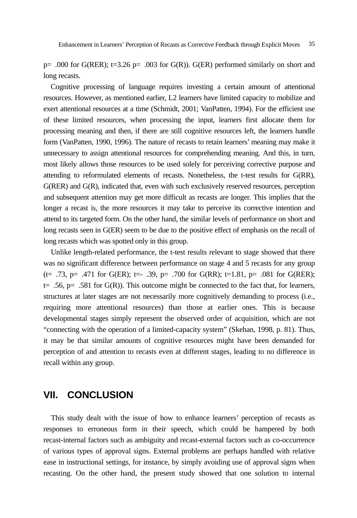p=  $.000$  for G(RER); t=3.26 p=  $.003$  for G(R)). G(ER) performed similarly on short and long recasts.

Cognitive processing of language requires investing a certain amount of attentional resources. However, as mentioned earlier, L2 learners have limited capacity to mobilize and exert attentional resources at a time (Schmidt, 2001; VanPatten, 1994). For the efficient use of these limited resources, when processing the input, learners first allocate them for processing meaning and then, if there are still cognitive resources left, the learners handle form (VanPatten, 1990, 1996). The nature of recasts to retain learners' meaning may make it unnecessary to assign attentional resources for comprehending meaning. And this, in turn, most likely allows those resources to be used solely for perceiving corrective purpose and attending to reformulated elements of recasts. Nonetheless, the t-test results for G(RR), G(RER) and G(R), indicated that, even with such exclusively reserved resources, perception and subsequent attention may get more difficult as recasts are longer. This implies that the longer a recast is, the more resources it may take to perceive its corrective intention and attend to its targeted form. On the other hand, the similar levels of performance on short and long recasts seen in G(ER) seem to be due to the positive effect of emphasis on the recall of long recasts which was spotted only in this group.

Unlike length-related performance, the t-test results relevant to stage showed that there was no significant difference between performance on stage 4 and 5 recasts for any group (t= .73, p= .471 for G(ER); t=- .39, p= .700 for G(RR); t=1.81, p= .081 for G(RER); t= .56, p= .581 for  $G(R)$ ). This outcome might be connected to the fact that, for learners, structures at later stages are not necessarily more cognitively demanding to process (i.e., requiring more attentional resources) than those at earlier ones. This is because developmental stages simply represent the observed order of acquisition, which are not "connecting with the operation of a limited-capacity system" (Skehan, 1998, p. 81). Thus, it may be that similar amounts of cognitive resources might have been demanded for perception of and attention to recasts even at different stages, leading to no difference in recall within any group.

### **VII. CONCLUSION**

This study dealt with the issue of how to enhance learners' perception of recasts as responses to erroneous form in their speech, which could be hampered by both recast-internal factors such as ambiguity and recast-external factors such as co-occurrence of various types of approval signs. External problems are perhaps handled with relative ease in instructional settings, for instance, by simply avoiding use of approval signs when recasting. On the other hand, the present study showed that one solution to internal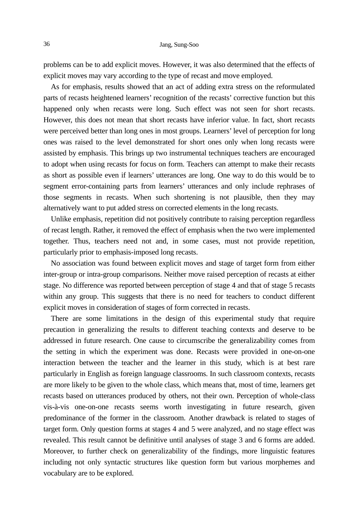problems can be to add explicit moves. However, it was also determined that the effects of explicit moves may vary according to the type of recast and move employed.

As for emphasis, results showed that an act of adding extra stress on the reformulated parts of recasts heightened learners' recognition of the recasts' corrective function but this happened only when recasts were long. Such effect was not seen for short recasts. However, this does not mean that short recasts have inferior value. In fact, short recasts were perceived better than long ones in most groups. Learners' level of perception for long ones was raised to the level demonstrated for short ones only when long recasts were assisted by emphasis. This brings up two instrumental techniques teachers are encouraged to adopt when using recasts for focus on form. Teachers can attempt to make their recasts as short as possible even if learners' utterances are long. One way to do this would be to segment error-containing parts from learners' utterances and only include rephrases of those segments in recasts. When such shortening is not plausible, then they may alternatively want to put added stress on corrected elements in the long recasts.

Unlike emphasis, repetition did not positively contribute to raising perception regardless of recast length. Rather, it removed the effect of emphasis when the two were implemented together. Thus, teachers need not and, in some cases, must not provide repetition, particularly prior to emphasis-imposed long recasts.

No association was found between explicit moves and stage of target form from either inter-group or intra-group comparisons. Neither move raised perception of recasts at either stage. No difference was reported between perception of stage 4 and that of stage 5 recasts within any group. This suggests that there is no need for teachers to conduct different explicit moves in consideration of stages of form corrected in recasts.

There are some limitations in the design of this experimental study that require precaution in generalizing the results to different teaching contexts and deserve to be addressed in future research. One cause to circumscribe the generalizability comes from the setting in which the experiment was done. Recasts were provided in one-on-one interaction between the teacher and the learner in this study, which is at best rare particularly in English as foreign language classrooms. In such classroom contexts, recasts are more likely to be given to the whole class, which means that, most of time, learners get recasts based on utterances produced by others, not their own. Perception of whole-class vis-à-vis one-on-one recasts seems worth investigating in future research, given predominance of the former in the classroom. Another drawback is related to stages of target form. Only question forms at stages 4 and 5 were analyzed, and no stage effect was revealed. This result cannot be definitive until analyses of stage 3 and 6 forms are added. Moreover, to further check on generalizability of the findings, more linguistic features including not only syntactic structures like question form but various morphemes and vocabulary are to be explored.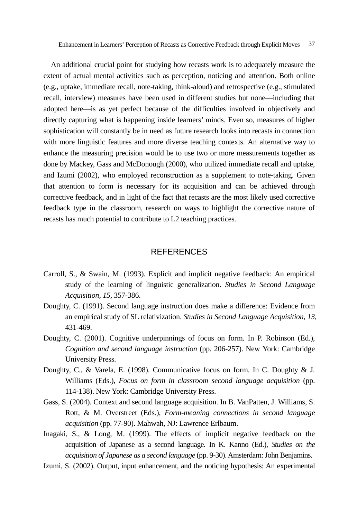An additional crucial point for studying how recasts work is to adequately measure the extent of actual mental activities such as perception, noticing and attention. Both online (e.g., uptake, immediate recall, note-taking, think-aloud) and retrospective (e.g., stimulated recall, interview) measures have been used in different studies but none—including that adopted here—is as yet perfect because of the difficulties involved in objectively and directly capturing what is happening inside learners' minds. Even so, measures of higher sophistication will constantly be in need as future research looks into recasts in connection with more linguistic features and more diverse teaching contexts. An alternative way to enhance the measuring precision would be to use two or more measurements together as done by Mackey, Gass and McDonough (2000), who utilized immediate recall and uptake, and Izumi (2002), who employed reconstruction as a supplement to note-taking. Given that attention to form is necessary for its acquisition and can be achieved through corrective feedback, and in light of the fact that recasts are the most likely used corrective feedback type in the classroom, research on ways to highlight the corrective nature of recasts has much potential to contribute to L2 teaching practices.

#### **REFERENCES**

- Carroll, S., & Swain, M. (1993). Explicit and implicit negative feedback: An empirical study of the learning of linguistic generalization. *Studies in Second Language Acquisition, 15,* 357-386.
- Doughty, C. (1991). Second language instruction does make a difference: Evidence from an empirical study of SL relativization. *Studies in Second Language Acquisition, 13,* 431-469.
- Doughty, C. (2001). Cognitive underpinnings of focus on form. In P. Robinson (Ed.), *Cognition and second language instruction* (pp. 206-257). New York: Cambridge University Press.
- Doughty, C., & Varela, E. (1998). Communicative focus on form. In C. Doughty & J. Williams (Eds.), *Focus on form in classroom second language acquisition* (pp. 114-138). New York: Cambridge University Press.
- Gass, S. (2004). Context and second language acquisition. In B. VanPatten, J. Williams, S. Rott, & M. Overstreet (Eds.), *Form-meaning connections in second language acquisition* (pp. 77-90). Mahwah, NJ: Lawrence Erlbaum.
- Inagaki, S., & Long, M. (1999). The effects of implicit negative feedback on the acquisition of Japanese as a second language. In K. Kanno (Ed.), *Studies on the acquisition of Japanese as a second language* (pp. 9-30). Amsterdam: John Benjamins.
- Izumi, S. (2002). Output, input enhancement, and the noticing hypothesis: An experimental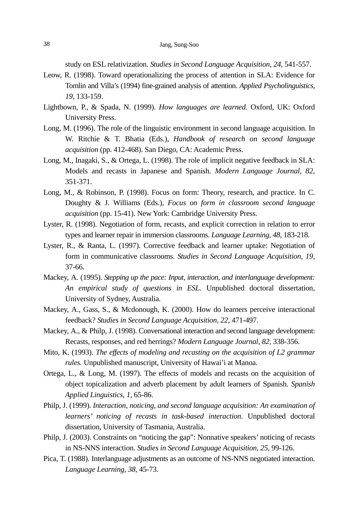study on ESL relativization. *Studies in Second Language Acquisition, 24,* 541-557.

- Leow, R. (1998). Toward operationalizing the process of attention in SLA: Evidence for Tomlin and Villa's (1994) fine-grained analysis of attention. *Applied Psycholinguistics, 19,* 133-159.
- Lightbown, P., & Spada, N. (1999). *How languages are learned.* Oxford, UK: Oxford University Press.
- Long, M. (1996). The role of the linguistic environment in second language acquisition. In W. Ritchie & T. Bhatia (Eds.), *Handbook of research on second language acquisition* (pp. 412-468). San Diego, CA: Academic Press.
- Long, M., Inagaki, S., & Ortega, L. (1998). The role of implicit negative feedback in SLA: Models and recasts in Japanese and Spanish. *Modern Language Journal, 82,* 351-371.
- Long, M., & Robinson, P. (1998). Focus on form: Theory, research, and practice. In C. Doughty & J. Williams (Eds.), *Focus on form in classroom second language acquisition* (pp. 15-41). New York: Cambridge University Press.
- Lyster, R. (1998). Negotiation of form, recasts, and explicit correction in relation to error types and learner repair in immersion classrooms. *Language Learning, 48,* 183-218.
- Lyster, R., & Ranta, L. (1997). Corrective feedback and learner uptake: Negotiation of form in communicative classrooms. *Studies in Second Language Acquisition, 19,* 37-66.
- Mackey, A. (1995). *Stepping up the pace: Input, interaction, and interlanguage development: An empirical study of questions in ESL.* Unpublished doctoral dissertation, University of Sydney, Australia.
- Mackey, A., Gass, S., & Mcdonough, K. (2000). How do learners perceive interactional feedback? *Studies in Second Language Acquisition, 22,* 471-497.
- Mackey, A., & Philp, J. (1998). Conversational interaction and second language development: Recasts, responses, and red herrings? *Modern Language Journal, 82,* 338-356.
- Mito, K. (1993). *The effects of modeling and recasting on the acquisition of L2 grammar rules.* Unpublished manuscript, University of Hawai'i at Manoa.
- Ortega, L., & Long, M. (1997). The effects of models and recasts on the acquisition of object topicalization and adverb placement by adult learners of Spanish. *Spanish Applied Linguistics, 1,* 65-86.
- Philp, J. (1999). *Interaction, noticing, and second language acquisition: An examination of learners' noticing of recasts in task-based interaction.* Unpublished doctoral dissertation, University of Tasmania, Australia.
- Philp, J. (2003). Constraints on "noticing the gap": Nonnative speakers' noticing of recasts in NS-NNS interaction. *Studies in Second Language Acquisition, 25,* 99-126.
- Pica, T. (1988). Interlanguage adjustments as an outcome of NS-NNS negotiated interaction. *Language Learning, 38,* 45-73.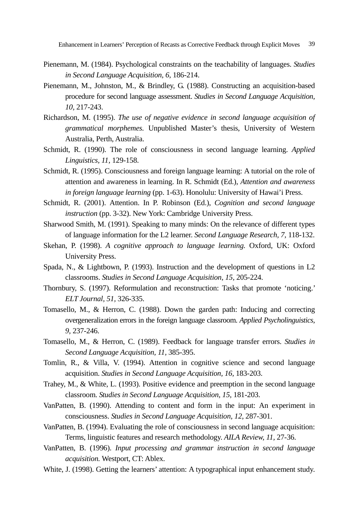- Pienemann, M. (1984). Psychological constraints on the teachability of languages. *Studies in Second Language Acquisition, 6,* 186-214.
- Pienemann, M., Johnston, M., & Brindley, G. (1988). Constructing an acquisition-based procedure for second language assessment. *Studies in Second Language Acquisition, 10,* 217-243.
- Richardson, M. (1995). *The use of negative evidence in second language acquisition of grammatical morphemes.* Unpublished Master's thesis, University of Western Australia, Perth, Australia.
- Schmidt, R. (1990). The role of consciousness in second language learning. *Applied Linguistics, 11,* 129-158.
- Schmidt, R. (1995). Consciousness and foreign language learning: A tutorial on the role of attention and awareness in learning. In R. Schmidt (Ed.), *Attention and awareness in foreign language learning* (pp. 1-63). Honolulu: University of Hawai'i Press.
- Schmidt, R. (2001). Attention. In P. Robinson (Ed.), *Cognition and second language instruction* (pp. 3-32). New York: Cambridge University Press.
- Sharwood Smith, M. (1991). Speaking to many minds: On the relevance of different types of language information for the L2 learner. *Second Language Research, 7,* 118-132.
- Skehan, P. (1998). *A cognitive approach to language learning.* Oxford, UK: Oxford University Press.
- Spada, N., & Lightbown, P. (1993). Instruction and the development of questions in L2 classrooms. *Studies in Second Language Acquisition, 15,* 205-224.
- Thornbury, S. (1997). Reformulation and reconstruction: Tasks that promote 'noticing.' *ELT Journal, 51,* 326-335.
- Tomasello, M., & Herron, C. (1988). Down the garden path: Inducing and correcting overgeneralization errors in the foreign language classroom. *Applied Psycholinguistics, 9,* 237-246.
- Tomasello, M., & Herron, C. (1989). Feedback for language transfer errors. *Studies in Second Language Acquisition, 11,* 385-395.
- Tomlin, R., & Villa, V. (1994). Attention in cognitive science and second language acquisition. *Studies in Second Language Acquisition, 16,* 183-203.
- Trahey, M., & White, L. (1993). Positive evidence and preemption in the second language classroom. *Studies in Second Language Acquisition, 15,* 181-203.
- VanPatten, B. (1990). Attending to content and form in the input: An experiment in consciousness. *Studies in Second Language Acquisition, 12,* 287-301.
- VanPatten, B. (1994). Evaluating the role of consciousness in second language acquisition: Terms, linguistic features and research methodology. *AILA Review, 11,* 27-36.
- VanPatten, B. (1996). *Input processing and grammar instruction in second language acquisition.* Westport, CT: Ablex.
- White, J. (1998). Getting the learners' attention: A typographical input enhancement study.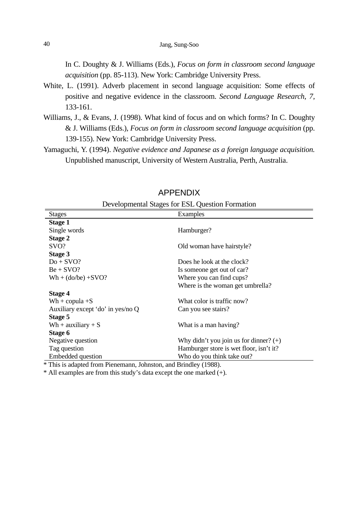In C. Doughty & J. Williams (Eds.), *Focus on form in classroom second language acquisition* (pp. 85-113). New York: Cambridge University Press.

- White, L. (1991). Adverb placement in second language acquisition: Some effects of positive and negative evidence in the classroom. *Second Language Research, 7,* 133-161.
- Williams, J., & Evans, J. (1998). What kind of focus and on which forms? In C. Doughty & J. Williams (Eds.), *Focus on form in classroom second language acquisition* (pp. 139-155). New York: Cambridge University Press.
- Yamaguchi, Y. (1994). *Negative evidence and Japanese as a foreign language acquisition.* Unpublished manuscript, University of Western Australia, Perth, Australia.

| Developmental Stages for ESL Question Formation |                                          |  |  |  |
|-------------------------------------------------|------------------------------------------|--|--|--|
| <b>Stages</b>                                   | Examples                                 |  |  |  |
| Stage 1                                         |                                          |  |  |  |
| Single words                                    | Hamburger?                               |  |  |  |
| Stage 2                                         |                                          |  |  |  |
| SVO?                                            | Old woman have hairstyle?                |  |  |  |
| Stage 3                                         |                                          |  |  |  |
| $Do + SVO?$                                     | Does he look at the clock?               |  |  |  |
| $Be + SVO?$                                     | Is someone get out of car?               |  |  |  |
| $Wh + (do/be) + SVO?$                           | Where you can find cups?                 |  |  |  |
|                                                 | Where is the woman get umbrella?         |  |  |  |
| Stage 4                                         |                                          |  |  |  |
| $Wh + copula + S$                               | What color is traffic now?               |  |  |  |
| Auxiliary except 'do' in yes/no Q               | Can you see stairs?                      |  |  |  |
| Stage 5                                         |                                          |  |  |  |
| Wh + auxiliary + $S$                            | What is a man having?                    |  |  |  |
| Stage 6                                         |                                          |  |  |  |
| Negative question                               | Why didn't you join us for dinner? $(+)$ |  |  |  |
| Tag question                                    | Hamburger store is wet floor, isn't it?  |  |  |  |
| Embedded question                               | Who do you think take out?               |  |  |  |

#### APPENDIX

Developmental Stages for ESL Question Formation

\* This is adapted from Pienemann, Johnston, and Brindley (1988).

\* All examples are from this study's data except the one marked (+).